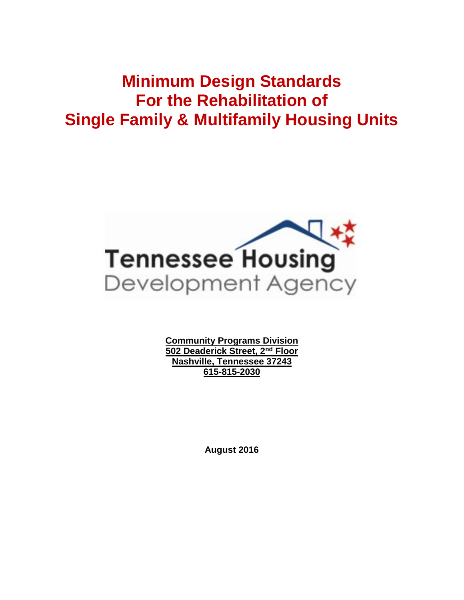# **Minimum Design Standards For the Rehabilitation of Single Family & Multifamily Housing Units**



**Community Programs Division 502 Deaderick Street, 2nd Floor Nashville, Tennessee 37243 615-815-2030**

**August 2016**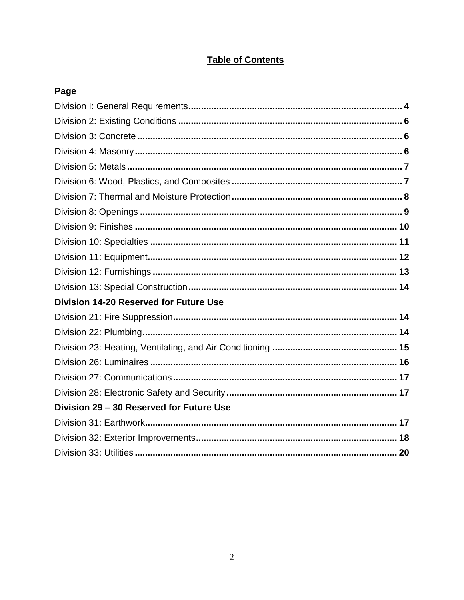### **Table of Contents**

| Page                                          |  |
|-----------------------------------------------|--|
|                                               |  |
|                                               |  |
|                                               |  |
|                                               |  |
|                                               |  |
|                                               |  |
|                                               |  |
|                                               |  |
|                                               |  |
|                                               |  |
|                                               |  |
|                                               |  |
|                                               |  |
| <b>Division 14-20 Reserved for Future Use</b> |  |
|                                               |  |
|                                               |  |
|                                               |  |
|                                               |  |
|                                               |  |
|                                               |  |
| Division 29 - 30 Reserved for Future Use      |  |
|                                               |  |
|                                               |  |
|                                               |  |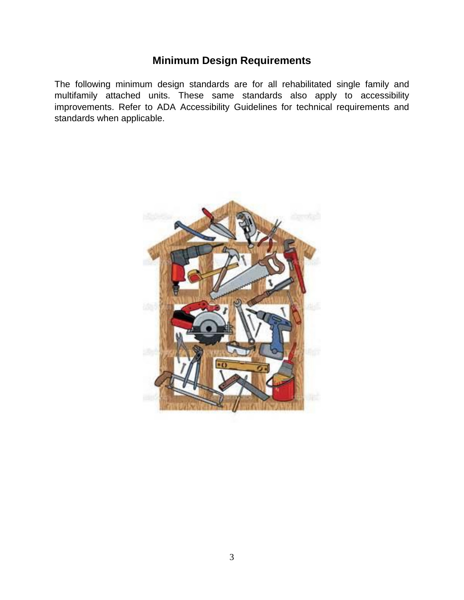# **Minimum Design Requirements**

The following minimum design standards are for all rehabilitated single family and multifamily attached units. These same standards also apply to accessibility improvements. Refer to ADA Accessibility Guidelines for technical requirements and standards when applicable.

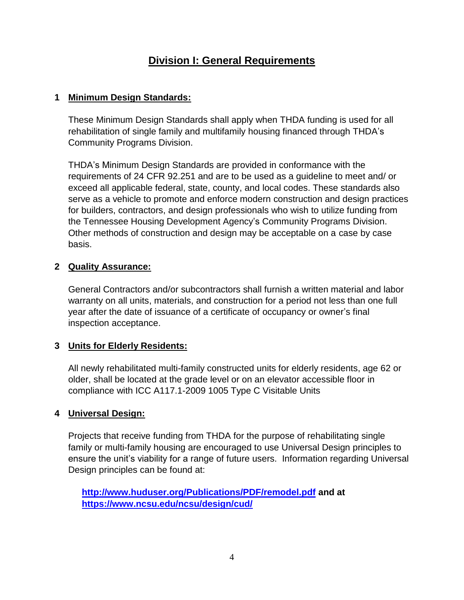# **Division I: General Requirements**

### **1 Minimum Design Standards:**

These Minimum Design Standards shall apply when THDA funding is used for all rehabilitation of single family and multifamily housing financed through THDA's Community Programs Division.

THDA's Minimum Design Standards are provided in conformance with the requirements of 24 CFR 92.251 and are to be used as a guideline to meet and/ or exceed all applicable federal, state, county, and local codes. These standards also serve as a vehicle to promote and enforce modern construction and design practices for builders, contractors, and design professionals who wish to utilize funding from the Tennessee Housing Development Agency's Community Programs Division. Other methods of construction and design may be acceptable on a case by case basis.

### **2 Quality Assurance:**

General Contractors and/or subcontractors shall furnish a written material and labor warranty on all units, materials, and construction for a period not less than one full year after the date of issuance of a certificate of occupancy or owner's final inspection acceptance.

### **3 Units for Elderly Residents:**

All newly rehabilitated multi-family constructed units for elderly residents, age 62 or older, shall be located at the grade level or on an elevator accessible floor in compliance with ICC A117.1-2009 1005 Type C Visitable Units

### **4 Universal Design:**

Projects that receive funding from THDA for the purpose of rehabilitating single family or multi-family housing are encouraged to use Universal Design principles to ensure the unit's viability for a range of future users. Information regarding Universal Design principles can be found at:

**<http://www.huduser.org/Publications/PDF/remodel.pdf> and at <https://www.ncsu.edu/ncsu/design/cud/>**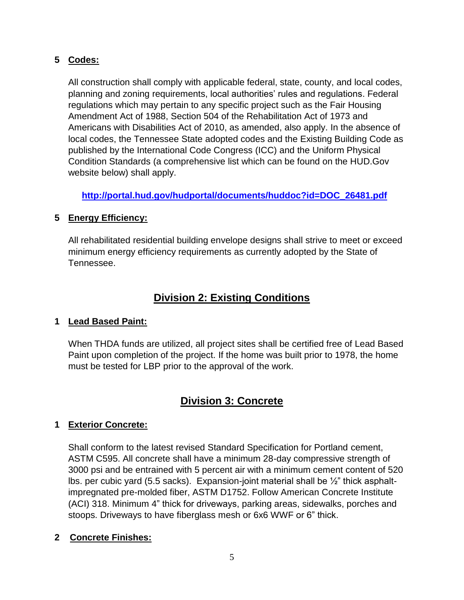### **5 Codes:**

All construction shall comply with applicable federal, state, county, and local codes, planning and zoning requirements, local authorities' rules and regulations. Federal regulations which may pertain to any specific project such as the Fair Housing Amendment Act of 1988, Section 504 of the Rehabilitation Act of 1973 and Americans with Disabilities Act of 2010, as amended, also apply. In the absence of local codes, the Tennessee State adopted codes and the Existing Building Code as published by the International Code Congress (ICC) and the Uniform Physical Condition Standards (a comprehensive list which can be found on the HUD.Gov website below) shall apply.

**[http://portal.hud.gov/hudportal/documents/huddoc?id=DOC\\_26481.pdf](http://portal.hud.gov/hudportal/documents/huddoc?id=DOC_26481.pdf)**

### **5 Energy Efficiency:**

All rehabilitated residential building envelope designs shall strive to meet or exceed minimum energy efficiency requirements as currently adopted by the State of Tennessee.

# **Division 2: Existing Conditions**

### **1 Lead Based Paint:**

When THDA funds are utilized, all project sites shall be certified free of Lead Based Paint upon completion of the project. If the home was built prior to 1978, the home must be tested for LBP prior to the approval of the work.

# **Division 3: Concrete**

### **1 Exterior Concrete:**

Shall conform to the latest revised Standard Specification for Portland cement, ASTM C595. All concrete shall have a minimum 28-day compressive strength of 3000 psi and be entrained with 5 percent air with a minimum cement content of 520 lbs. per cubic yard (5.5 sacks). Expansion-joint material shall be  $\frac{1}{2}$  thick asphaltimpregnated pre-molded fiber, ASTM D1752. Follow American Concrete Institute (ACI) 318. Minimum 4" thick for driveways, parking areas, sidewalks, porches and stoops. Driveways to have fiberglass mesh or 6x6 WWF or 6" thick.

### **2 Concrete Finishes:**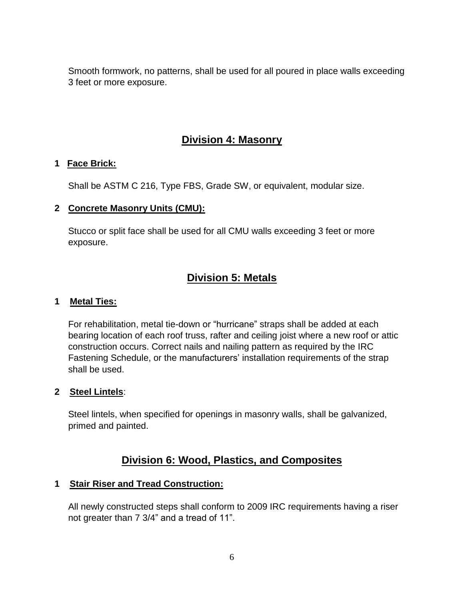Smooth formwork, no patterns, shall be used for all poured in place walls exceeding 3 feet or more exposure.

# **Division 4: Masonry**

### **1 Face Brick:**

Shall be ASTM C 216, Type FBS, Grade SW, or equivalent, modular size.

### **2 Concrete Masonry Units (CMU):**

Stucco or split face shall be used for all CMU walls exceeding 3 feet or more exposure.

# **Division 5: Metals**

### **1 Metal Ties:**

For rehabilitation, metal tie-down or "hurricane" straps shall be added at each bearing location of each roof truss, rafter and ceiling joist where a new roof or attic construction occurs. Correct nails and nailing pattern as required by the IRC Fastening Schedule, or the manufacturers' installation requirements of the strap shall be used.

### **2 Steel Lintels**:

Steel lintels, when specified for openings in masonry walls, shall be galvanized, primed and painted.

### **Division 6: Wood, Plastics, and Composites**

### **1 Stair Riser and Tread Construction:**

All newly constructed steps shall conform to 2009 IRC requirements having a riser not greater than 7 3/4" and a tread of 11".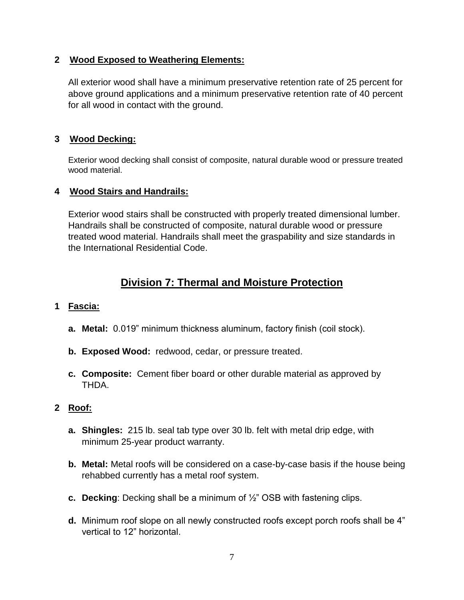### **2 Wood Exposed to Weathering Elements:**

All exterior wood shall have a minimum preservative retention rate of 25 percent for above ground applications and a minimum preservative retention rate of 40 percent for all wood in contact with the ground.

### **3 Wood Decking:**

Exterior wood decking shall consist of composite, natural durable wood or pressure treated wood material.

### **4 Wood Stairs and Handrails:**

Exterior wood stairs shall be constructed with properly treated dimensional lumber. Handrails shall be constructed of composite, natural durable wood or pressure treated wood material. Handrails shall meet the graspability and size standards in the International Residential Code.

# **Division 7: Thermal and Moisture Protection**

### **1 Fascia:**

- **a. Metal:** 0.019" minimum thickness aluminum, factory finish (coil stock).
- **b. Exposed Wood:** redwood, cedar, or pressure treated.
- **c. Composite:** Cement fiber board or other durable material as approved by THDA.

### **2 Roof:**

- **a. Shingles:** 215 lb. seal tab type over 30 lb. felt with metal drip edge, with minimum 25-year product warranty.
- **b. Metal:** Metal roofs will be considered on a case-by-case basis if the house being rehabbed currently has a metal roof system.
- **c. Decking**: Decking shall be a minimum of ½" OSB with fastening clips.
- **d.** Minimum roof slope on all newly constructed roofs except porch roofs shall be 4" vertical to 12" horizontal.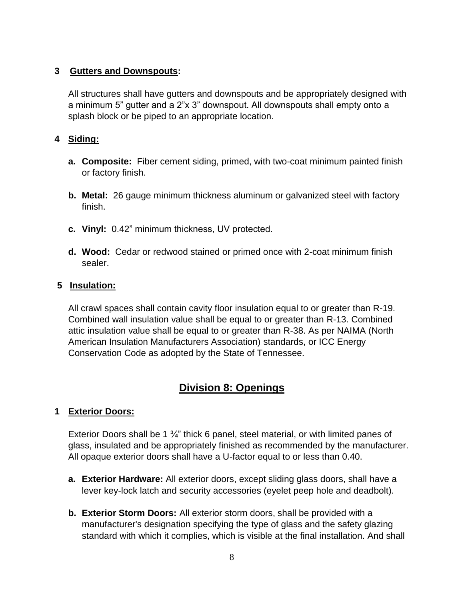### **3 Gutters and Downspouts:**

All structures shall have gutters and downspouts and be appropriately designed with a minimum 5" gutter and a 2"x 3" downspout. All downspouts shall empty onto a splash block or be piped to an appropriate location.

### **4 Siding:**

- **a. Composite:** Fiber cement siding, primed, with two-coat minimum painted finish or factory finish.
- **b. Metal:** 26 gauge minimum thickness aluminum or galvanized steel with factory finish.
- **c. Vinyl:** 0.42" minimum thickness, UV protected.
- **d. Wood:** Cedar or redwood stained or primed once with 2-coat minimum finish sealer.

### **5 Insulation:**

All crawl spaces shall contain cavity floor insulation equal to or greater than R-19. Combined wall insulation value shall be equal to or greater than R-13. Combined attic insulation value shall be equal to or greater than R-38. As per NAIMA (North American Insulation Manufacturers Association) standards, or ICC Energy Conservation Code as adopted by the State of Tennessee.

# **Division 8: Openings**

### **1 Exterior Doors:**

Exterior Doors shall be 1 <sup>3</sup>/<sub>4</sub>" thick 6 panel, steel material, or with limited panes of glass, insulated and be appropriately finished as recommended by the manufacturer. All opaque exterior doors shall have a U-factor equal to or less than 0.40.

- **a. Exterior Hardware:** All exterior doors, except sliding glass doors, shall have a lever key-lock latch and security accessories (eyelet peep hole and deadbolt).
- **b. Exterior Storm Doors:** All exterior storm doors, shall be provided with a manufacturer's designation specifying the type of glass and the safety glazing standard with which it complies, which is visible at the final installation. And shall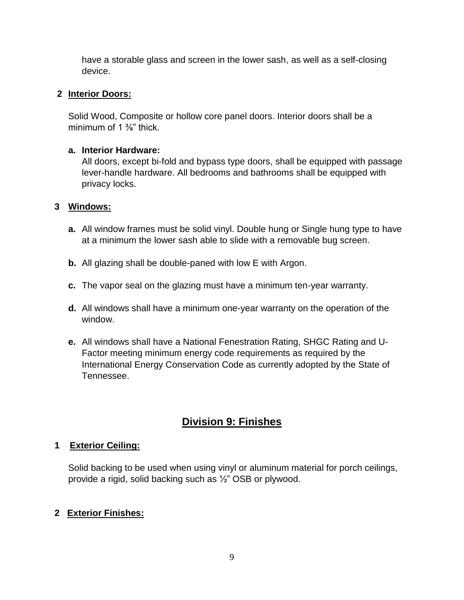have a storable glass and screen in the lower sash, as well as a self-closing device.

### **2 Interior Doors:**

Solid Wood, Composite or hollow core panel doors. Interior doors shall be a minimum of  $1\frac{3}{8}$ " thick.

### **a. Interior Hardware:**

All doors, except bi-fold and bypass type doors, shall be equipped with passage lever-handle hardware. All bedrooms and bathrooms shall be equipped with privacy locks.

### **3 Windows:**

- **a.** All window frames must be solid vinyl. Double hung or Single hung type to have at a minimum the lower sash able to slide with a removable bug screen.
- **b.** All glazing shall be double-paned with low E with Argon.
- **c.** The vapor seal on the glazing must have a minimum ten-year warranty.
- **d.** All windows shall have a minimum one-year warranty on the operation of the window.
- **e.** All windows shall have a National Fenestration Rating, SHGC Rating and U-Factor meeting minimum energy code requirements as required by the International Energy Conservation Code as currently adopted by the State of Tennessee.

# **Division 9: Finishes**

### **1 Exterior Ceiling:**

Solid backing to be used when using vinyl or aluminum material for porch ceilings, provide a rigid, solid backing such as ½" OSB or plywood.

### **2 Exterior Finishes:**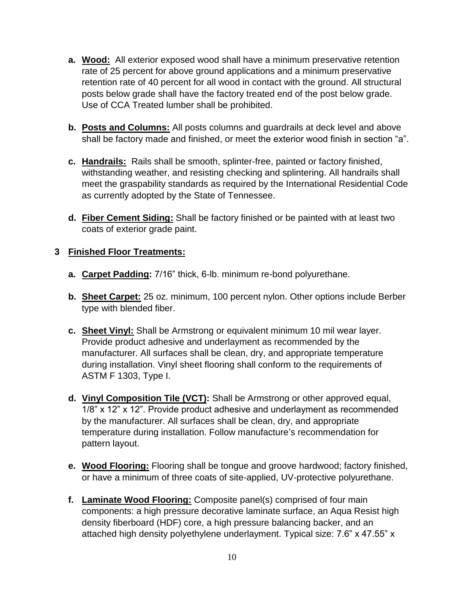- **a. Wood:** All exterior exposed wood shall have a minimum preservative retention rate of 25 percent for above ground applications and a minimum preservative retention rate of 40 percent for all wood in contact with the ground. All structural posts below grade shall have the factory treated end of the post below grade. Use of CCA Treated lumber shall be prohibited.
- **b. Posts and Columns:** All posts columns and guardrails at deck level and above shall be factory made and finished, or meet the exterior wood finish in section "a".
- **c. Handrails:** Rails shall be smooth, splinter-free, painted or factory finished, withstanding weather, and resisting checking and splintering. All handrails shall meet the graspability standards as required by the International Residential Code as currently adopted by the State of Tennessee.
- **d. Fiber Cement Siding:** Shall be factory finished or be painted with at least two coats of exterior grade paint.

### **3 Finished Floor Treatments:**

- **a. Carpet Padding:** 7/16" thick, 6-lb. minimum re-bond polyurethane.
- **b. Sheet Carpet:** 25 oz. minimum, 100 percent nylon. Other options include Berber type with blended fiber.
- **c. Sheet Vinyl:** Shall be Armstrong or equivalent minimum 10 mil wear layer. Provide product adhesive and underlayment as recommended by the manufacturer. All surfaces shall be clean, dry, and appropriate temperature during installation. Vinyl sheet flooring shall conform to the requirements of ASTM F 1303, Type I.
- **d. Vinyl Composition Tile (VCT):** Shall be Armstrong or other approved equal, 1/8" x 12" x 12". Provide product adhesive and underlayment as recommended by the manufacturer. All surfaces shall be clean, dry, and appropriate temperature during installation. Follow manufacture's recommendation for pattern layout.
- **e. Wood Flooring:** Flooring shall be tongue and groove hardwood; factory finished, or have a minimum of three coats of site-applied, UV-protective polyurethane.
- **f. Laminate Wood Flooring:** Composite panel(s) comprised of four main components: a high pressure decorative laminate surface, an Aqua Resist high density fiberboard (HDF) core, a high pressure balancing backer, and an attached high density polyethylene underlayment. Typical size: 7.6" x 47.55" x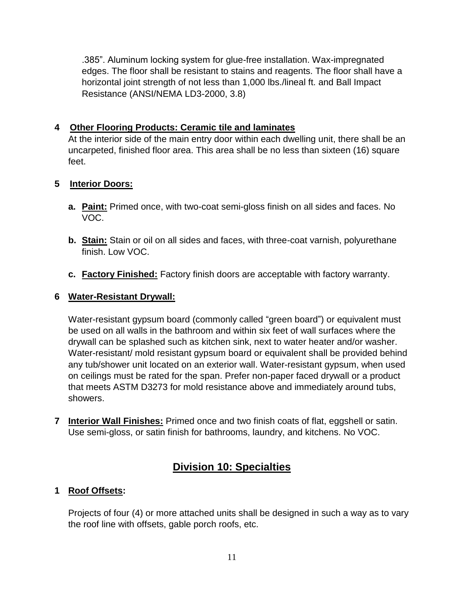.385". Aluminum locking system for glue-free installation. Wax-impregnated edges. The floor shall be resistant to stains and reagents. The floor shall have a horizontal joint strength of not less than 1,000 lbs./lineal ft. and Ball Impact Resistance (ANSI/NEMA LD3-2000, 3.8)

### **4 Other Flooring Products: Ceramic tile and laminates**

At the interior side of the main entry door within each dwelling unit, there shall be an uncarpeted, finished floor area. This area shall be no less than sixteen (16) square feet.

### **5 Interior Doors:**

- **a. Paint:** Primed once, with two-coat semi-gloss finish on all sides and faces. No VOC.
- **b. Stain:** Stain or oil on all sides and faces, with three-coat varnish, polyurethane finish. Low VOC.
- **c. Factory Finished:** Factory finish doors are acceptable with factory warranty.

### **6 Water-Resistant Drywall:**

Water-resistant gypsum board (commonly called "green board") or equivalent must be used on all walls in the bathroom and within six feet of wall surfaces where the drywall can be splashed such as kitchen sink, next to water heater and/or washer. Water-resistant/ mold resistant gypsum board or equivalent shall be provided behind any tub/shower unit located on an exterior wall. Water-resistant gypsum, when used on ceilings must be rated for the span. Prefer non-paper faced drywall or a product that meets ASTM D3273 for mold resistance above and immediately around tubs, showers.

**7 Interior Wall Finishes:** Primed once and two finish coats of flat, eggshell or satin. Use semi-gloss, or satin finish for bathrooms, laundry, and kitchens. No VOC.

# **Division 10: Specialties**

### **1 Roof Offsets:**

Projects of four (4) or more attached units shall be designed in such a way as to vary the roof line with offsets, gable porch roofs, etc.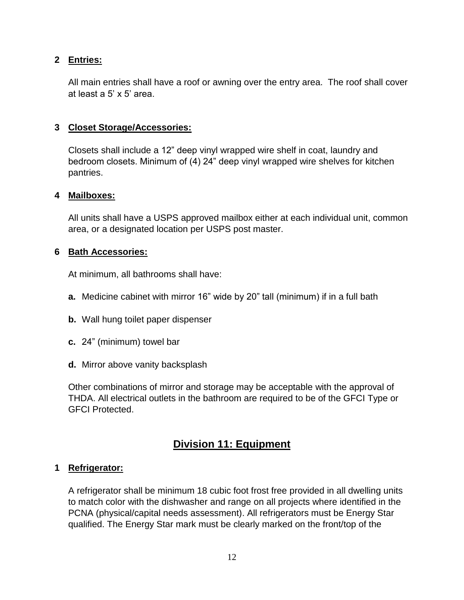### **2 Entries:**

All main entries shall have a roof or awning over the entry area. The roof shall cover at least a 5' x 5' area.

### **3 Closet Storage/Accessories:**

Closets shall include a 12" deep vinyl wrapped wire shelf in coat, laundry and bedroom closets. Minimum of (4) 24" deep vinyl wrapped wire shelves for kitchen pantries.

#### **4 Mailboxes:**

All units shall have a USPS approved mailbox either at each individual unit, common area, or a designated location per USPS post master.

### **6 Bath Accessories:**

At minimum, all bathrooms shall have:

- **a.** Medicine cabinet with mirror 16" wide by 20" tall (minimum) if in a full bath
- **b.** Wall hung toilet paper dispenser
- **c.** 24" (minimum) towel bar
- **d.** Mirror above vanity backsplash

Other combinations of mirror and storage may be acceptable with the approval of THDA. All electrical outlets in the bathroom are required to be of the GFCI Type or GFCI Protected.

# **Division 11: Equipment**

### **1 Refrigerator:**

A refrigerator shall be minimum 18 cubic foot frost free provided in all dwelling units to match color with the dishwasher and range on all projects where identified in the PCNA (physical/capital needs assessment). All refrigerators must be Energy Star qualified. The Energy Star mark must be clearly marked on the front/top of the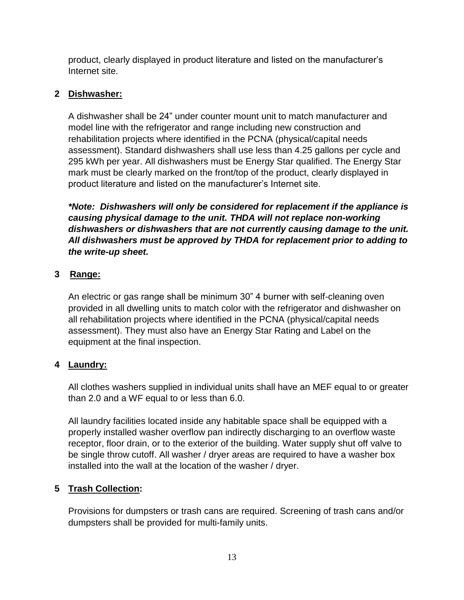product, clearly displayed in product literature and listed on the manufacturer's Internet site.

### **2 Dishwasher:**

A dishwasher shall be 24" under counter mount unit to match manufacturer and model line with the refrigerator and range including new construction and rehabilitation projects where identified in the PCNA (physical/capital needs assessment). Standard dishwashers shall use less than 4.25 gallons per cycle and 295 kWh per year. All dishwashers must be Energy Star qualified. The Energy Star mark must be clearly marked on the front/top of the product, clearly displayed in product literature and listed on the manufacturer's Internet site.

*\*Note: Dishwashers will only be considered for replacement if the appliance is causing physical damage to the unit. THDA will not replace non-working dishwashers or dishwashers that are not currently causing damage to the unit. All dishwashers must be approved by THDA for replacement prior to adding to the write-up sheet.*

### **3 Range:**

An electric or gas range shall be minimum 30" 4 burner with self-cleaning oven provided in all dwelling units to match color with the refrigerator and dishwasher on all rehabilitation projects where identified in the PCNA (physical/capital needs assessment). They must also have an Energy Star Rating and Label on the equipment at the final inspection.

### **4 Laundry:**

All clothes washers supplied in individual units shall have an MEF equal to or greater than 2.0 and a WF equal to or less than 6.0.

All laundry facilities located inside any habitable space shall be equipped with a properly installed washer overflow pan indirectly discharging to an overflow waste receptor, floor drain, or to the exterior of the building. Water supply shut off valve to be single throw cutoff. All washer / dryer areas are required to have a washer box installed into the wall at the location of the washer / dryer.

### **5 Trash Collection:**

Provisions for dumpsters or trash cans are required. Screening of trash cans and/or dumpsters shall be provided for multi-family units.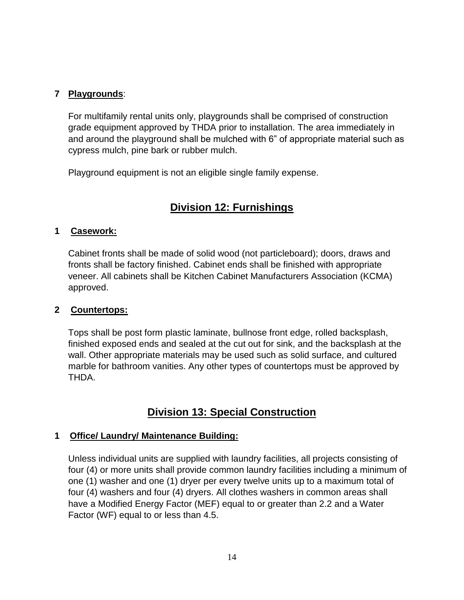### **7 Playgrounds**:

For multifamily rental units only, playgrounds shall be comprised of construction grade equipment approved by THDA prior to installation. The area immediately in and around the playground shall be mulched with 6" of appropriate material such as cypress mulch, pine bark or rubber mulch.

Playground equipment is not an eligible single family expense.

# **Division 12: Furnishings**

### **1 Casework:**

Cabinet fronts shall be made of solid wood (not particleboard); doors, draws and fronts shall be factory finished. Cabinet ends shall be finished with appropriate veneer. All cabinets shall be Kitchen Cabinet Manufacturers Association (KCMA) approved.

### **2 Countertops:**

Tops shall be post form plastic laminate, bullnose front edge, rolled backsplash, finished exposed ends and sealed at the cut out for sink, and the backsplash at the wall. Other appropriate materials may be used such as solid surface, and cultured marble for bathroom vanities. Any other types of countertops must be approved by THDA.

# **Division 13: Special Construction**

### **1 Office/ Laundry/ Maintenance Building:**

Unless individual units are supplied with laundry facilities, all projects consisting of four (4) or more units shall provide common laundry facilities including a minimum of one (1) washer and one (1) dryer per every twelve units up to a maximum total of four (4) washers and four (4) dryers. All clothes washers in common areas shall have a Modified Energy Factor (MEF) equal to or greater than 2.2 and a Water Factor (WF) equal to or less than 4.5.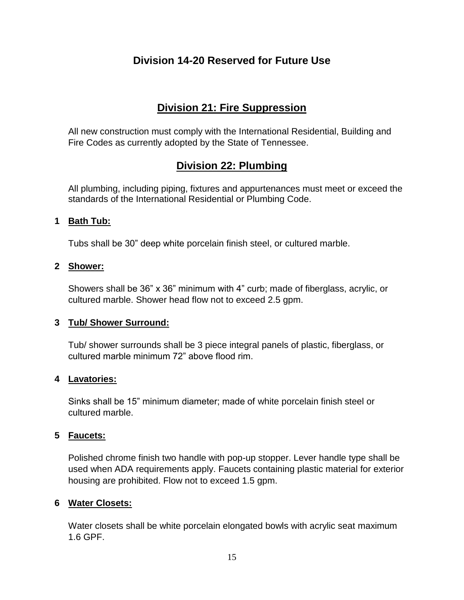# **Division 14-20 Reserved for Future Use**

# **Division 21: Fire Suppression**

All new construction must comply with the International Residential, Building and Fire Codes as currently adopted by the State of Tennessee.

# **Division 22: Plumbing**

All plumbing, including piping, fixtures and appurtenances must meet or exceed the standards of the International Residential or Plumbing Code.

### **1 Bath Tub:**

Tubs shall be 30" deep white porcelain finish steel, or cultured marble.

### **2 Shower:**

Showers shall be 36" x 36" minimum with 4" curb; made of fiberglass, acrylic, or cultured marble. Shower head flow not to exceed 2.5 gpm.

### **3 Tub/ Shower Surround:**

Tub/ shower surrounds shall be 3 piece integral panels of plastic, fiberglass, or cultured marble minimum 72" above flood rim.

### **4 Lavatories:**

Sinks shall be 15" minimum diameter; made of white porcelain finish steel or cultured marble.

### **5 Faucets:**

Polished chrome finish two handle with pop-up stopper. Lever handle type shall be used when ADA requirements apply. Faucets containing plastic material for exterior housing are prohibited. Flow not to exceed 1.5 gpm.

### **6 Water Closets:**

Water closets shall be white porcelain elongated bowls with acrylic seat maximum 1.6 GPF.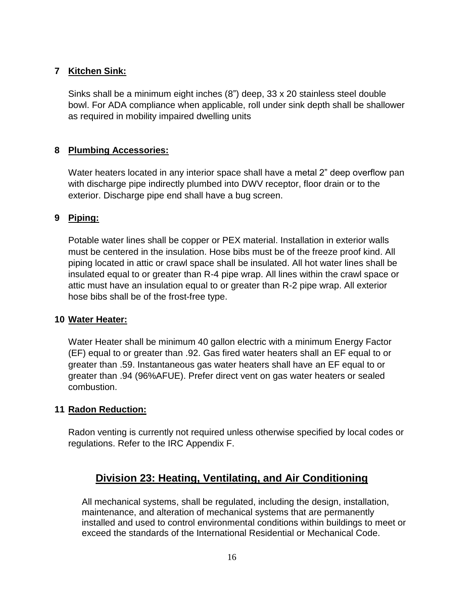### **7 Kitchen Sink:**

Sinks shall be a minimum eight inches (8") deep, 33 x 20 stainless steel double bowl. For ADA compliance when applicable, roll under sink depth shall be shallower as required in mobility impaired dwelling units

### **8 Plumbing Accessories:**

Water heaters located in any interior space shall have a metal 2" deep overflow pan with discharge pipe indirectly plumbed into DWV receptor, floor drain or to the exterior. Discharge pipe end shall have a bug screen.

### **9 Piping:**

Potable water lines shall be copper or PEX material. Installation in exterior walls must be centered in the insulation. Hose bibs must be of the freeze proof kind. All piping located in attic or crawl space shall be insulated. All hot water lines shall be insulated equal to or greater than R-4 pipe wrap. All lines within the crawl space or attic must have an insulation equal to or greater than R-2 pipe wrap. All exterior hose bibs shall be of the frost-free type.

### **10 Water Heater:**

Water Heater shall be minimum 40 gallon electric with a minimum Energy Factor (EF) equal to or greater than .92. Gas fired water heaters shall an EF equal to or greater than .59. Instantaneous gas water heaters shall have an EF equal to or greater than .94 (96%AFUE). Prefer direct vent on gas water heaters or sealed combustion.

### **11 Radon Reduction:**

Radon venting is currently not required unless otherwise specified by local codes or regulations. Refer to the IRC Appendix F.

# **Division 23: Heating, Ventilating, and Air Conditioning**

All mechanical systems, shall be regulated, including the design, installation, maintenance, and alteration of mechanical systems that are permanently installed and used to control environmental conditions within buildings to meet or exceed the standards of the International Residential or Mechanical Code.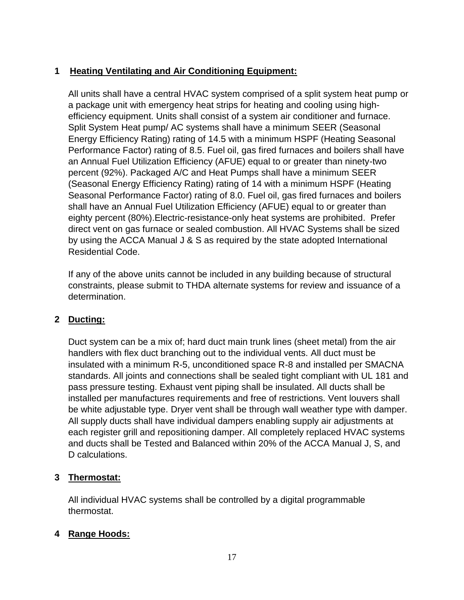### **1 Heating Ventilating and Air Conditioning Equipment:**

All units shall have a central HVAC system comprised of a split system heat pump or a package unit with emergency heat strips for heating and cooling using highefficiency equipment. Units shall consist of a system air conditioner and furnace. Split System Heat pump/ AC systems shall have a minimum SEER (Seasonal Energy Efficiency Rating) rating of 14.5 with a minimum HSPF (Heating Seasonal Performance Factor) rating of 8.5. Fuel oil, gas fired furnaces and boilers shall have an Annual Fuel Utilization Efficiency (AFUE) equal to or greater than ninety-two percent (92%). Packaged A/C and Heat Pumps shall have a minimum SEER (Seasonal Energy Efficiency Rating) rating of 14 with a minimum HSPF (Heating Seasonal Performance Factor) rating of 8.0. Fuel oil, gas fired furnaces and boilers shall have an Annual Fuel Utilization Efficiency (AFUE) equal to or greater than eighty percent (80%).Electric-resistance-only heat systems are prohibited. Prefer direct vent on gas furnace or sealed combustion. All HVAC Systems shall be sized by using the ACCA Manual J & S as required by the state adopted International Residential Code.

If any of the above units cannot be included in any building because of structural constraints, please submit to THDA alternate systems for review and issuance of a determination.

### **2 Ducting:**

Duct system can be a mix of; hard duct main trunk lines (sheet metal) from the air handlers with flex duct branching out to the individual vents. All duct must be insulated with a minimum R-5, unconditioned space R-8 and installed per SMACNA standards. All joints and connections shall be sealed tight compliant with UL 181 and pass pressure testing. Exhaust vent piping shall be insulated. All ducts shall be installed per manufactures requirements and free of restrictions. Vent louvers shall be white adjustable type. Dryer vent shall be through wall weather type with damper. All supply ducts shall have individual dampers enabling supply air adjustments at each register grill and repositioning damper. All completely replaced HVAC systems and ducts shall be Tested and Balanced within 20% of the ACCA Manual J, S, and D calculations.

### **3 Thermostat:**

All individual HVAC systems shall be controlled by a digital programmable thermostat.

### **4 Range Hoods:**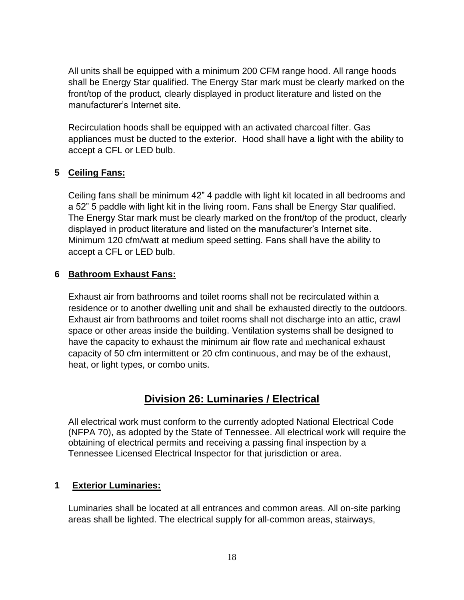All units shall be equipped with a minimum 200 CFM range hood. All range hoods shall be Energy Star qualified. The Energy Star mark must be clearly marked on the front/top of the product, clearly displayed in product literature and listed on the manufacturer's Internet site.

Recirculation hoods shall be equipped with an activated charcoal filter. Gas appliances must be ducted to the exterior. Hood shall have a light with the ability to accept a CFL or LED bulb.

### **5 Ceiling Fans:**

Ceiling fans shall be minimum 42" 4 paddle with light kit located in all bedrooms and a 52" 5 paddle with light kit in the living room. Fans shall be Energy Star qualified. The Energy Star mark must be clearly marked on the front/top of the product, clearly displayed in product literature and listed on the manufacturer's Internet site. Minimum 120 cfm/watt at medium speed setting. Fans shall have the ability to accept a CFL or LED bulb.

### **6 Bathroom Exhaust Fans:**

Exhaust air from bathrooms and toilet rooms shall not be recirculated within a residence or to another dwelling unit and shall be exhausted directly to the outdoors. Exhaust air from bathrooms and toilet rooms shall not discharge into an attic, crawl space or other areas inside the building. Ventilation systems shall be designed to have the capacity to exhaust the minimum air flow rate and mechanical exhaust capacity of 50 cfm intermittent or 20 cfm continuous, and may be of the exhaust, heat, or light types, or combo units.

### **Division 26: Luminaries / Electrical**

All electrical work must conform to the currently adopted National Electrical Code (NFPA 70), as adopted by the State of Tennessee. All electrical work will require the obtaining of electrical permits and receiving a passing final inspection by a Tennessee Licensed Electrical Inspector for that jurisdiction or area.

### **1 Exterior Luminaries:**

Luminaries shall be located at all entrances and common areas. All on-site parking areas shall be lighted. The electrical supply for all-common areas, stairways,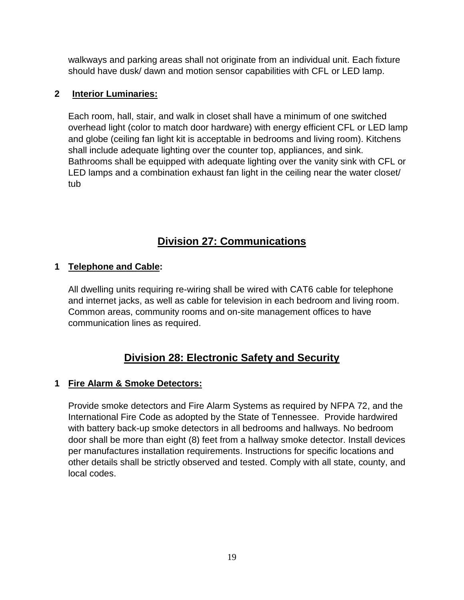walkways and parking areas shall not originate from an individual unit. Each fixture should have dusk/ dawn and motion sensor capabilities with CFL or LED lamp.

### **2 Interior Luminaries:**

Each room, hall, stair, and walk in closet shall have a minimum of one switched overhead light (color to match door hardware) with energy efficient CFL or LED lamp and globe (ceiling fan light kit is acceptable in bedrooms and living room). Kitchens shall include adequate lighting over the counter top, appliances, and sink. Bathrooms shall be equipped with adequate lighting over the vanity sink with CFL or LED lamps and a combination exhaust fan light in the ceiling near the water closet/ tub

# **Division 27: Communications**

### **1 Telephone and Cable:**

All dwelling units requiring re-wiring shall be wired with CAT6 cable for telephone and internet jacks, as well as cable for television in each bedroom and living room. Common areas, community rooms and on-site management offices to have communication lines as required.

# **Division 28: Electronic Safety and Security**

### **1 Fire Alarm & Smoke Detectors:**

Provide smoke detectors and Fire Alarm Systems as required by NFPA 72, and the International Fire Code as adopted by the State of Tennessee. Provide hardwired with battery back-up smoke detectors in all bedrooms and hallways. No bedroom door shall be more than eight (8) feet from a hallway smoke detector. Install devices per manufactures installation requirements. Instructions for specific locations and other details shall be strictly observed and tested. Comply with all state, county, and local codes.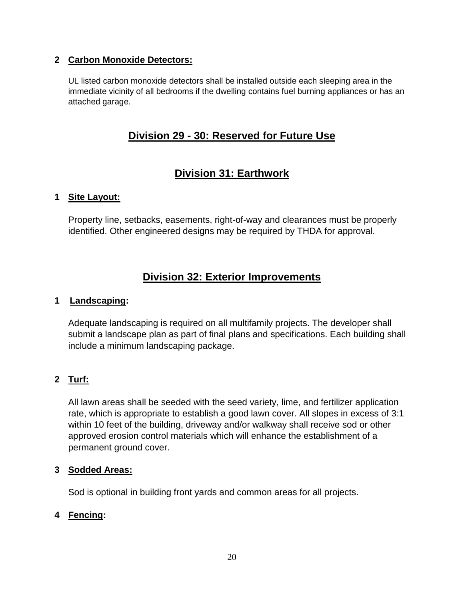### **2 Carbon Monoxide Detectors:**

UL listed carbon monoxide detectors shall be installed outside each sleeping area in the immediate vicinity of all bedrooms if the dwelling contains fuel burning appliances or has an attached garage.

### **Division 29 - 30: Reserved for Future Use**

# **Division 31: Earthwork**

### **1 Site Layout:**

Property line, setbacks, easements, right-of-way and clearances must be properly identified. Other engineered designs may be required by THDA for approval.

# **Division 32: Exterior Improvements**

### **1 Landscaping:**

Adequate landscaping is required on all multifamily projects. The developer shall submit a landscape plan as part of final plans and specifications. Each building shall include a minimum landscaping package.

### **2 Turf:**

All lawn areas shall be seeded with the seed variety, lime, and fertilizer application rate, which is appropriate to establish a good lawn cover. All slopes in excess of 3:1 within 10 feet of the building, driveway and/or walkway shall receive sod or other approved erosion control materials which will enhance the establishment of a permanent ground cover.

### **3 Sodded Areas:**

Sod is optional in building front yards and common areas for all projects.

### **4 Fencing:**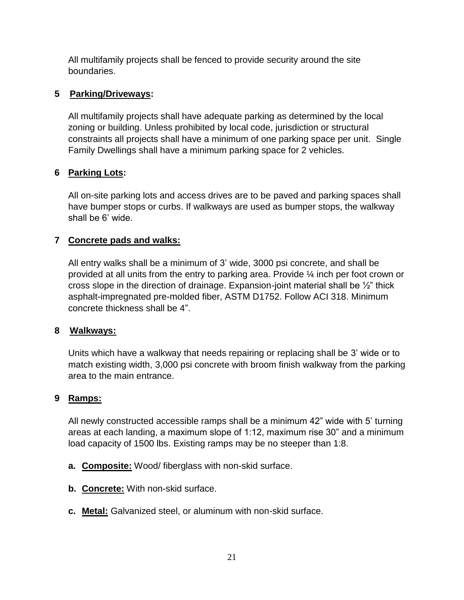All multifamily projects shall be fenced to provide security around the site boundaries.

### **5 Parking/Driveways:**

All multifamily projects shall have adequate parking as determined by the local zoning or building. Unless prohibited by local code, jurisdiction or structural constraints all projects shall have a minimum of one parking space per unit. Single Family Dwellings shall have a minimum parking space for 2 vehicles.

### **6 Parking Lots:**

All on-site parking lots and access drives are to be paved and parking spaces shall have bumper stops or curbs. If walkways are used as bumper stops, the walkway shall be 6' wide.

### **7 Concrete pads and walks:**

All entry walks shall be a minimum of 3' wide, 3000 psi concrete, and shall be provided at all units from the entry to parking area. Provide ¼ inch per foot crown or cross slope in the direction of drainage. Expansion-joint material shall be ½" thick asphalt-impregnated pre-molded fiber, ASTM D1752. Follow ACI 318. Minimum concrete thickness shall be 4".

### **8 Walkways:**

Units which have a walkway that needs repairing or replacing shall be 3' wide or to match existing width, 3,000 psi concrete with broom finish walkway from the parking area to the main entrance.

### **9 Ramps:**

All newly constructed accessible ramps shall be a minimum 42" wide with 5' turning areas at each landing, a maximum slope of 1:12, maximum rise 30" and a minimum load capacity of 1500 lbs. Existing ramps may be no steeper than 1:8.

- **a. Composite:** Wood/ fiberglass with non-skid surface.
- **b. Concrete:** With non-skid surface.
- **c. Metal:** Galvanized steel, or aluminum with non-skid surface.